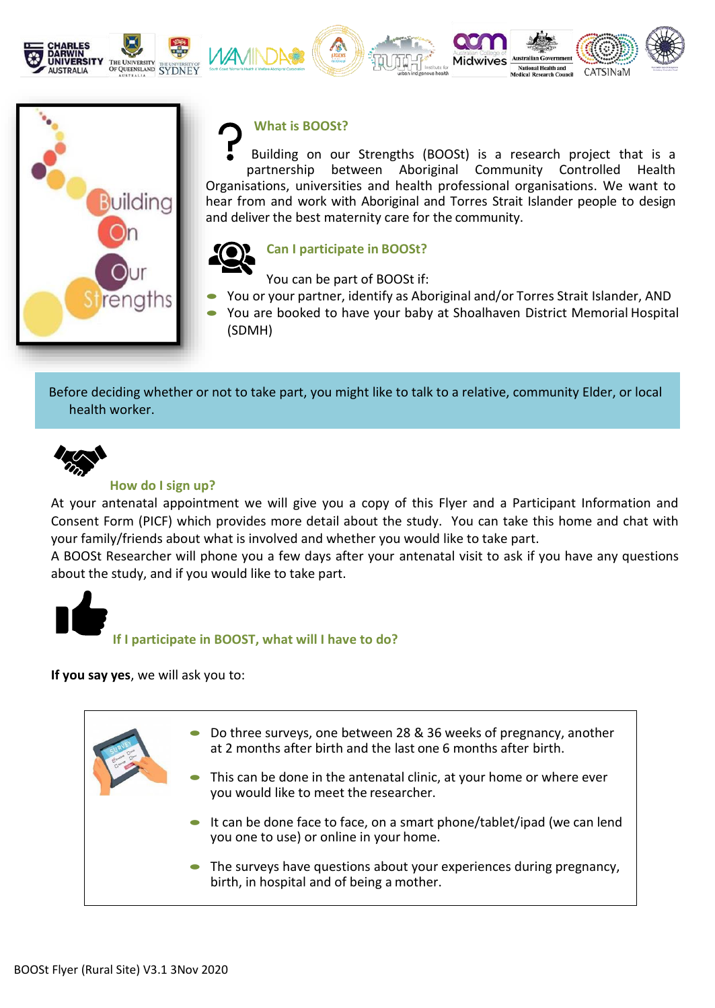







# **What is BOOSt?**

Building on our Strengths (BOOSt) is a research project that is a partnership between Aboriginal Community Controlled Health Organisations, universities and health professional organisations. We want to hear from and work with Aboriginal and Torres Strait Islander people to design and deliver the best maternity care for the community.

**Midwives** 

al Health and



## **Can I participate in BOOSt?**

You can be part of BOOSt if:

- You or your partner, identify as Aboriginal and/or Torres Strait Islander, AND
- You are booked to have your baby at Shoalhaven District Memorial Hospital (SDMH)

Before deciding whether or not to take part, you might like to talk to a relative, community Elder, or local health worker.



### **How do I sign up?**

At your antenatal appointment we will give you a copy of this Flyer and a Participant Information and Consent Form (PICF) which provides more detail about the study. You can take this home and chat with your family/friends about what is involved and whether you would like to take part.

A BOOSt Researcher will phone you a few days after your antenatal visit to ask if you have any questions about the study, and if you would like to take part.



**If I participate in BOOST, what will I have to do?**

**If you say yes**, we will ask you to:

• Do three surveys, one between 28 & 36 weeks of pregnancy, another at 2 months after birth and the last one 6 months after birth. This can be done in the antenatal clinic, at your home or where ever you would like to meet the researcher. It can be done face to face, on a smart phone/tablet/ipad (we can lend you one to use) or online in your home. • The surveys have questions about your experiences during pregnancy, birth, in hospital and of being a mother.